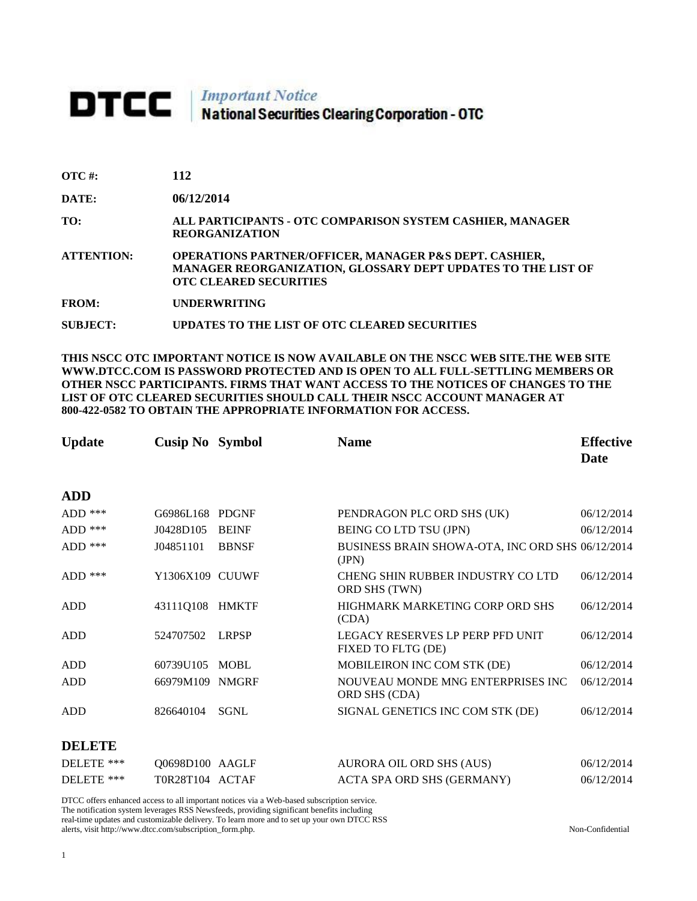# DTCC | Important Notice<br>National Securities Clearing Corporation - OTC

| $\overline{\text{OTC}}$ #: | 112 |
|----------------------------|-----|
|----------------------------|-----|

**DATE: 06/12/2014**

**TO: ALL PARTICIPANTS - OTC COMPARISON SYSTEM CASHIER, MANAGER REORGANIZATION** 

**ATTENTION: OPERATIONS PARTNER/OFFICER, MANAGER P&S DEPT. CASHIER, MANAGER REORGANIZATION, GLOSSARY DEPT UPDATES TO THE LIST OF OTC CLEARED SECURITIES** 

**FROM: UNDERWRITING**

**SUBJECT: UPDATES TO THE LIST OF OTC CLEARED SECURITIES**

**THIS NSCC OTC IMPORTANT NOTICE IS NOW AVAILABLE ON THE NSCC WEB SITE.THE WEB SITE WWW.DTCC.COM IS PASSWORD PROTECTED AND IS OPEN TO ALL FULL-SETTLING MEMBERS OR OTHER NSCC PARTICIPANTS. FIRMS THAT WANT ACCESS TO THE NOTICES OF CHANGES TO THE LIST OF OTC CLEARED SECURITIES SHOULD CALL THEIR NSCC ACCOUNT MANAGER AT 800-422-0582 TO OBTAIN THE APPROPRIATE INFORMATION FOR ACCESS.** 

| <b>Update</b> | <b>Cusip No</b> Symbol |              | <b>Name</b>                                               | <b>Effective</b> |
|---------------|------------------------|--------------|-----------------------------------------------------------|------------------|
|               |                        |              |                                                           | <b>Date</b>      |
| <b>ADD</b>    |                        |              |                                                           |                  |
| $ADD$ ***     | G6986L168 PDGNF        |              | PENDRAGON PLC ORD SHS (UK)                                | 06/12/2014       |
| $ADD$ ***     | J0428D105              | <b>BEINF</b> | BEING CO LTD TSU (JPN)                                    | 06/12/2014       |
| $ADD$ ***     | J04851101              | <b>BBNSF</b> | BUSINESS BRAIN SHOWA-OTA, INC ORD SHS 06/12/2014<br>(IPN) |                  |
| $ADD$ ***     | Y1306X109 CUUWF        |              | <b>CHENG SHIN RUBBER INDUSTRY CO LTD</b><br>ORD SHS (TWN) | 06/12/2014       |
| <b>ADD</b>    | 43111Q108              | HMKTF        | HIGHMARK MARKETING CORP ORD SHS<br>(CDA)                  | 06/12/2014       |
| <b>ADD</b>    | 524707502              | <b>LRPSP</b> | LEGACY RESERVES LP PERP PFD UNIT<br>FIXED TO FLTG (DE)    | 06/12/2014       |
| <b>ADD</b>    | 60739U105              | <b>MOBL</b>  | MOBILEIRON INC COM STK (DE)                               | 06/12/2014       |
| <b>ADD</b>    | 66979M109              | <b>NMGRF</b> | NOUVEAU MONDE MNG ENTERPRISES INC<br>ORD SHS (CDA)        | 06/12/2014       |
| <b>ADD</b>    | 826640104              | <b>SGNL</b>  | SIGNAL GENETICS INC COM STK (DE)                          | 06/12/2014       |
| <b>DELETE</b> |                        |              |                                                           |                  |
| DELETE ***    | Q0698D100 AAGLF        |              | AURORA OIL ORD SHS (AUS)                                  | 06/12/2014       |
| DELETE ***    | T0R28T104 ACTAF        |              | ACTA SPA ORD SHS (GERMANY)                                | 06/12/2014       |

DTCC offers enhanced access to all important notices via a Web-based subscription service. The notification system leverages RSS Newsfeeds, providing significant benefits including real-time updates and customizable delivery. To learn more and to set up your own DTCC RSS alerts, visit http://www.dtcc.com/subscription\_form.php. Non-Confidential